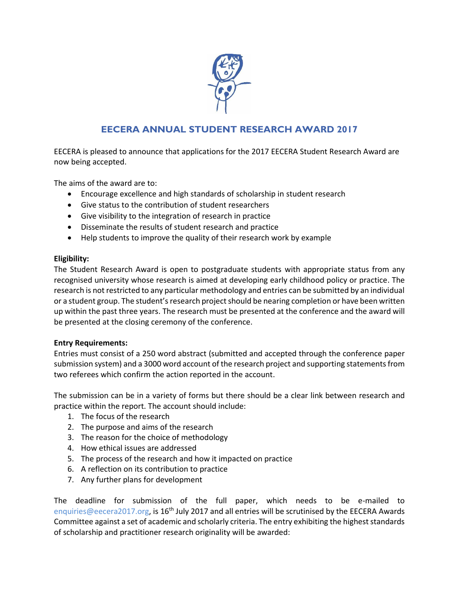

## **EECERA ANNUAL STUDENT RESEARCH AWARD 2017**

EECERA is pleased to announce that applications for the 2017 EECERA Student Research Award are now being accepted.

The aims of the award are to:

- Encourage excellence and high standards of scholarship in student research
- Give status to the contribution of student researchers
- Give visibility to the integration of research in practice
- Disseminate the results of student research and practice
- Help students to improve the quality of their research work by example

## **Eligibility:**

The Student Research Award is open to postgraduate students with appropriate status from any recognised university whose research is aimed at developing early childhood policy or practice. The research is not restricted to any particular methodology and entries can be submitted by an individual or a student group. The student's research project should be nearing completion or have been written up within the past three years. The research must be presented at the conference and the award will be presented at the closing ceremony of the conference.

## **Entry Requirements:**

Entries must consist of a 250 word abstract (submitted and accepted through the conference paper submission system) and a 3000 word account of the research project and supporting statements from two referees which confirm the action reported in the account.

The submission can be in a variety of forms but there should be a clear link between research and practice within the report. The account should include:

- 1. The focus of the research
- 2. The purpose and aims of the research
- 3. The reason for the choice of methodology
- 4. How ethical issues are addressed
- 5. The process of the research and how it impacted on practice
- 6. A reflection on its contribution to practice
- 7. Any further plans for development

The deadline for submission of the full paper, which needs to be e-mailed to [enquiries@eecera2017.org,](mailto:enquiries@eecera2017.org) is 16<sup>th</sup> July 2017 and all entries will be scrutinised by the EECERA Awards Committee against a set of academic and scholarly criteria. The entry exhibiting the highest standards of scholarship and practitioner research originality will be awarded: